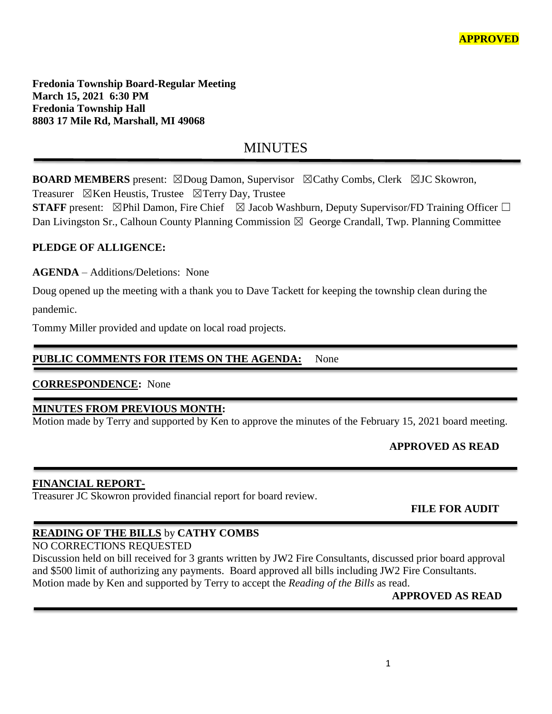**Fredonia Township Board-Regular Meeting March 15, 2021 6:30 PM Fredonia Township Hall 8803 17 Mile Rd, Marshall, MI 49068**

# MINUTES

**BOARD MEMBERS** present: ⊠Doug Damon, Supervisor ⊠Cathy Combs, Clerk ⊠JC Skowron, Treasurer  $\boxtimes$ Ken Heustis, Trustee  $\boxtimes$ Terry Day, Trustee

**STAFF** present: ⊠Phil Damon, Fire Chief ⊠ Jacob Washburn, Deputy Supervisor/FD Training Officer □ Dan Livingston Sr., Calhoun County Planning Commission  $\boxtimes$  George Crandall, Twp. Planning Committee

### **PLEDGE OF ALLIGENCE:**

**AGENDA** – Additions/Deletions: None

Doug opened up the meeting with a thank you to Dave Tackett for keeping the township clean during the pandemic.

Tommy Miller provided and update on local road projects.

### PUBLIC COMMENTS FOR ITEMS ON THE AGENDA: None

### **CORRESPONDENCE:** None

### **MINUTES FROM PREVIOUS MONTH:**

Motion made by Terry and supported by Ken to approve the minutes of the February 15, 2021 board meeting.

### **APPROVED AS READ**

### **FINANCIAL REPORT-**

Treasurer JC Skowron provided financial report for board review.

 **FILE FOR AUDIT** 

### **READING OF THE BILLS** by **CATHY COMBS**

NO CORRECTIONS REQUESTED

Discussion held on bill received for 3 grants written by JW2 Fire Consultants, discussed prior board approval and \$500 limit of authorizing any payments. Board approved all bills including JW2 Fire Consultants. Motion made by Ken and supported by Terry to accept the *Reading of the Bills* as read.

### **APPROVED AS READ**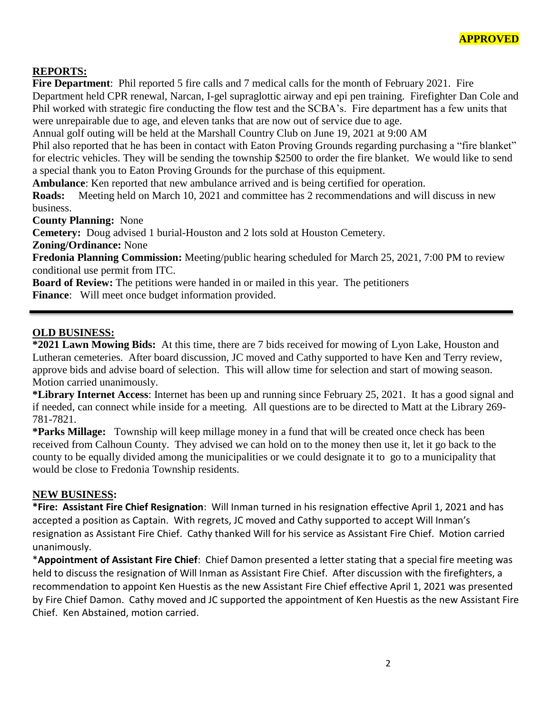#### **REPORTS:**

**Fire Department**: Phil reported 5 fire calls and 7 medical calls for the month of February 2021. Fire Department held CPR renewal, Narcan, I-gel supraglottic airway and epi pen training. Firefighter Dan Cole and Phil worked with strategic fire conducting the flow test and the SCBA's. Fire department has a few units that were unrepairable due to age, and eleven tanks that are now out of service due to age.

Annual golf outing will be held at the Marshall Country Club on June 19, 2021 at 9:00 AM

Phil also reported that he has been in contact with Eaton Proving Grounds regarding purchasing a "fire blanket" for electric vehicles. They will be sending the township \$2500 to order the fire blanket. We would like to send a special thank you to Eaton Proving Grounds for the purchase of this equipment.

**Ambulance**: Ken reported that new ambulance arrived and is being certified for operation.

**Roads:** Meeting held on March 10, 2021 and committee has 2 recommendations and will discuss in new business.

**County Planning:** None

**Cemetery:** Doug advised 1 burial-Houston and 2 lots sold at Houston Cemetery.

**Zoning/Ordinance:** None

**Fredonia Planning Commission:** Meeting/public hearing scheduled for March 25, 2021, 7:00 PM to review conditional use permit from ITC.

**Board of Review:** The petitions were handed in or mailed in this year. The petitioners **Finance**: Will meet once budget information provided.

#### **OLD BUSINESS:**

**\*2021 Lawn Mowing Bids:** At this time, there are 7 bids received for mowing of Lyon Lake, Houston and Lutheran cemeteries. After board discussion, JC moved and Cathy supported to have Ken and Terry review, approve bids and advise board of selection. This will allow time for selection and start of mowing season. Motion carried unanimously.

**\*Library Internet Access**: Internet has been up and running since February 25, 2021. It has a good signal and if needed, can connect while inside for a meeting. All questions are to be directed to Matt at the Library 269- 781-7821.

**\*Parks Millage:** Township will keep millage money in a fund that will be created once check has been received from Calhoun County. They advised we can hold on to the money then use it, let it go back to the county to be equally divided among the municipalities or we could designate it to go to a municipality that would be close to Fredonia Township residents.

#### **NEW BUSINESS:**

**\*Fire: Assistant Fire Chief Resignation**: Will Inman turned in his resignation effective April 1, 2021 and has accepted a position as Captain. With regrets, JC moved and Cathy supported to accept Will Inman's resignation as Assistant Fire Chief. Cathy thanked Will for his service as Assistant Fire Chief. Motion carried unanimously.

\***Appointment of Assistant Fire Chief**: Chief Damon presented a letter stating that a special fire meeting was held to discuss the resignation of Will Inman as Assistant Fire Chief. After discussion with the firefighters, a recommendation to appoint Ken Huestis as the new Assistant Fire Chief effective April 1, 2021 was presented by Fire Chief Damon. Cathy moved and JC supported the appointment of Ken Huestis as the new Assistant Fire Chief. Ken Abstained, motion carried.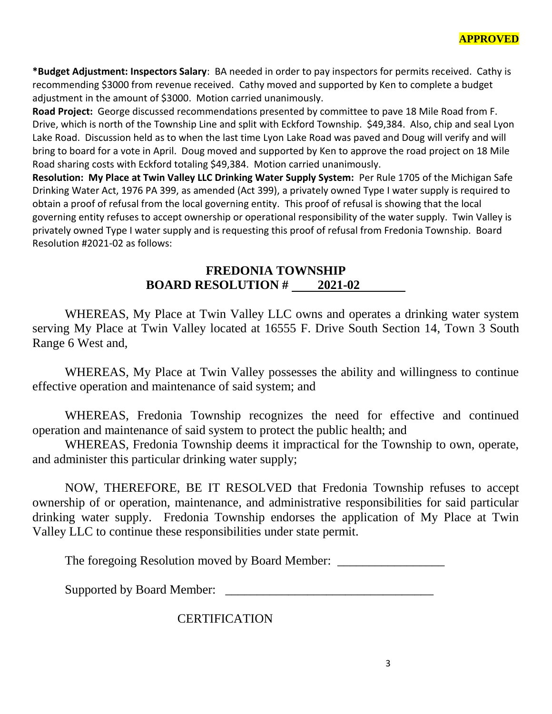**\*Budget Adjustment: Inspectors Salary**: BA needed in order to pay inspectors for permits received. Cathy is recommending \$3000 from revenue received. Cathy moved and supported by Ken to complete a budget adjustment in the amount of \$3000. Motion carried unanimously.

**Road Project:** George discussed recommendations presented by committee to pave 18 Mile Road from F. Drive, which is north of the Township Line and split with Eckford Township. \$49,384. Also, chip and seal Lyon Lake Road. Discussion held as to when the last time Lyon Lake Road was paved and Doug will verify and will bring to board for a vote in April. Doug moved and supported by Ken to approve the road project on 18 Mile Road sharing costs with Eckford totaling \$49,384. Motion carried unanimously.

**Resolution: My Place at Twin Valley LLC Drinking Water Supply System:** Per Rule 1705 of the Michigan Safe Drinking Water Act, 1976 PA 399, as amended (Act 399), a privately owned Type I water supply is required to obtain a proof of refusal from the local governing entity. This proof of refusal is showing that the local governing entity refuses to accept ownership or operational responsibility of the water supply. Twin Valley is privately owned Type I water supply and is requesting this proof of refusal from Fredonia Township. Board Resolution #2021-02 as follows:

### **FREDONIA TOWNSHIP BOARD RESOLUTION # 2021-02**

WHEREAS, My Place at Twin Valley LLC owns and operates a drinking water system serving My Place at Twin Valley located at 16555 F. Drive South Section 14, Town 3 South Range 6 West and,

WHEREAS, My Place at Twin Valley possesses the ability and willingness to continue effective operation and maintenance of said system; and

WHEREAS, Fredonia Township recognizes the need for effective and continued operation and maintenance of said system to protect the public health; and

WHEREAS, Fredonia Township deems it impractical for the Township to own, operate, and administer this particular drinking water supply;

NOW, THEREFORE, BE IT RESOLVED that Fredonia Township refuses to accept ownership of or operation, maintenance, and administrative responsibilities for said particular drinking water supply. Fredonia Township endorses the application of My Place at Twin Valley LLC to continue these responsibilities under state permit.

The foregoing Resolution moved by Board Member:

Supported by Board Member: \_

**CERTIFICATION**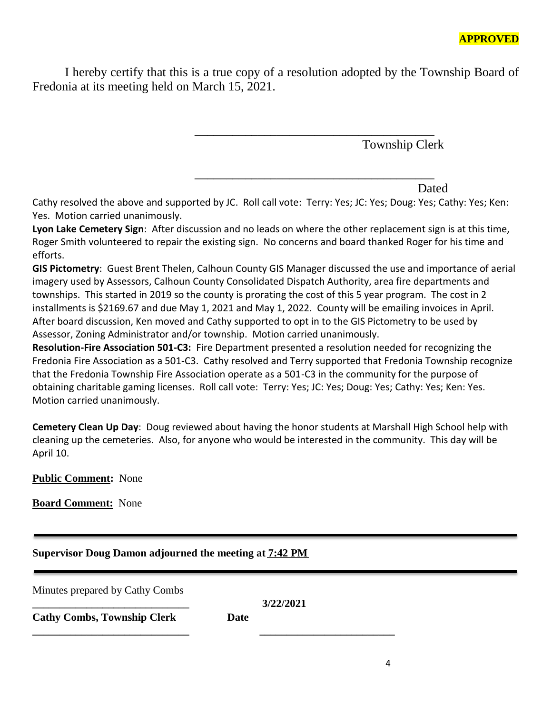I hereby certify that this is a true copy of a resolution adopted by the Township Board of Fredonia at its meeting held on March 15, 2021.

\_\_\_\_\_\_\_\_\_\_\_\_\_\_\_\_\_\_\_\_\_\_\_\_\_\_\_\_\_\_\_\_\_\_\_\_\_\_

\_\_\_\_\_\_\_\_\_\_\_\_\_\_\_\_\_\_\_\_\_\_\_\_\_\_\_\_\_\_\_\_\_\_\_\_\_\_

Township Clerk

Dated

Cathy resolved the above and supported by JC. Roll call vote: Terry: Yes; JC: Yes; Doug: Yes; Cathy: Yes; Ken: Yes. Motion carried unanimously.

**Lyon Lake Cemetery Sign**: After discussion and no leads on where the other replacement sign is at this time, Roger Smith volunteered to repair the existing sign. No concerns and board thanked Roger for his time and efforts.

**GIS Pictometry**: Guest Brent Thelen, Calhoun County GIS Manager discussed the use and importance of aerial imagery used by Assessors, Calhoun County Consolidated Dispatch Authority, area fire departments and townships. This started in 2019 so the county is prorating the cost of this 5 year program. The cost in 2 installments is \$2169.67 and due May 1, 2021 and May 1, 2022. County will be emailing invoices in April. After board discussion, Ken moved and Cathy supported to opt in to the GIS Pictometry to be used by Assessor, Zoning Administrator and/or township. Motion carried unanimously.

**Resolution-Fire Association 501-C3:** Fire Department presented a resolution needed for recognizing the Fredonia Fire Association as a 501-C3. Cathy resolved and Terry supported that Fredonia Township recognize that the Fredonia Township Fire Association operate as a 501-C3 in the community for the purpose of obtaining charitable gaming licenses. Roll call vote: Terry: Yes; JC: Yes; Doug: Yes; Cathy: Yes; Ken: Yes. Motion carried unanimously.

**Cemetery Clean Up Day**: Doug reviewed about having the honor students at Marshall High School help with cleaning up the cemeteries. Also, for anyone who would be interested in the community. This day will be April 10.

**Public Comment:** None

**Board Comment:** None

### **Supervisor Doug Damon adjourned the meeting at 7:42 PM**

**\_\_\_\_\_\_\_\_\_\_\_\_\_\_\_\_\_\_\_\_\_\_\_\_\_\_\_\_\_ \_\_\_\_\_\_\_\_\_\_\_\_\_\_\_\_\_\_\_\_\_\_\_\_\_**

Minutes prepared by Cathy Combs

**Cathy Combs, Township Clerk Date**

**\_\_\_\_\_\_\_\_\_\_\_\_\_\_\_\_\_\_\_\_\_\_\_\_\_\_\_\_\_ 3/22/2021**